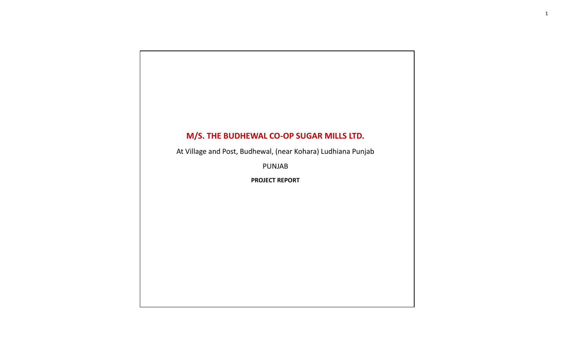At Village and Post, Budhewal, (near Kohara) Ludhiana Punjab

PUNJAB

**PROJECT REPORT**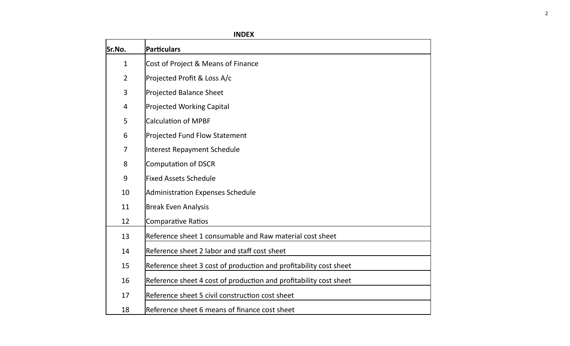| Sr.No.         | <b>Particulars</b>                                                |
|----------------|-------------------------------------------------------------------|
| $\mathbf{1}$   | Cost of Project & Means of Finance                                |
| $\overline{2}$ | Projected Profit & Loss A/c                                       |
| 3              | <b>Projected Balance Sheet</b>                                    |
| 4              | <b>Projected Working Capital</b>                                  |
| 5              | <b>Calculation of MPBF</b>                                        |
| 6              | <b>Projected Fund Flow Statement</b>                              |
| $\overline{7}$ | Interest Repayment Schedule                                       |
| 8              | Computation of DSCR                                               |
| 9              | <b>Fixed Assets Schedule</b>                                      |
| 10             | Administration Expenses Schedule                                  |
| 11             | <b>Break Even Analysis</b>                                        |
| 12             | Comparative Ratios                                                |
| 13             | Reference sheet 1 consumable and Raw material cost sheet          |
| 14             | Reference sheet 2 labor and staff cost sheet                      |
| 15             | Reference sheet 3 cost of production and profitability cost sheet |
| 16             | Reference sheet 4 cost of production and profitability cost sheet |
| 17             | Reference sheet 5 civil construction cost sheet                   |
| 18             | Reference sheet 6 means of finance cost sheet                     |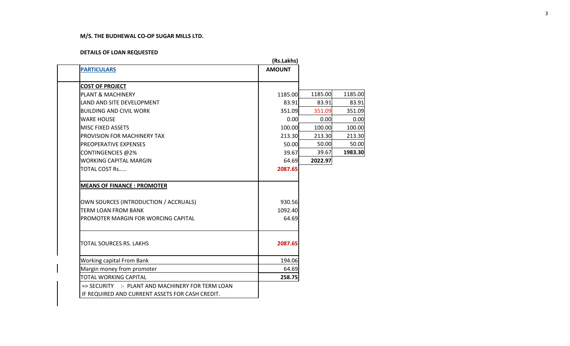#### **DETAILS OF LOAN REQUESTED**

|                                                  | (Rs.Lakhs)    |         |         |
|--------------------------------------------------|---------------|---------|---------|
| <b>PARTICULARS</b>                               | <b>AMOUNT</b> |         |         |
| <b>COST OF PROJECT</b>                           |               |         |         |
| <b>PLANT &amp; MACHINERY</b>                     | 1185.00       | 1185.00 | 1185.00 |
| LAND AND SITE DEVELOPMENT                        | 83.91         | 83.91   | 83.91   |
| <b>BUILDING AND CIVIL WORK</b>                   | 351.09        | 351.09  | 351.09  |
| <b>WARE HOUSE</b>                                | 0.00          | 0.00    | 0.00    |
| <b>MISC FIXED ASSETS</b>                         | 100.00        | 100.00  | 100.00  |
| <b>PROVISION FOR MACHINERY TAX</b>               | 213.30        | 213.30  | 213.30  |
| PREOPERATIVE EXPENSES                            | 50.00         | 50.00   | 50.00   |
| CONTINGENCIES @2%                                | 39.67         | 39.67   | 1983.30 |
| <b>WORKING CAPITAL MARGIN</b>                    | 64.69         | 2022.97 |         |
| TOTAL COST Rs                                    | 2087.65       |         |         |
| <b>MEANS OF FINANCE: PROMOTER</b>                |               |         |         |
| OWN SOURCES (INTRODUCTION / ACCRUALS)            | 930.56        |         |         |
| <b>TERM LOAN FROM BANK</b>                       | 1092.40       |         |         |
| PROMOTER MARGIN FOR WORCING CAPITAL              | 64.69         |         |         |
| TOTAL SOURCES RS. LAKHS                          | 2087.65       |         |         |
| <b>Working capital From Bank</b>                 | 194.06        |         |         |
| Margin money from promoter                       | 64.69         |         |         |
| TOTAL WORKING CAPITAL                            | 258.75        |         |         |
| => SECURITY :- PLANT AND MACHINERY FOR TERM LOAN |               |         |         |
| IF REQUIRED AND CURRENT ASSETS FOR CASH CREDIT.  |               |         |         |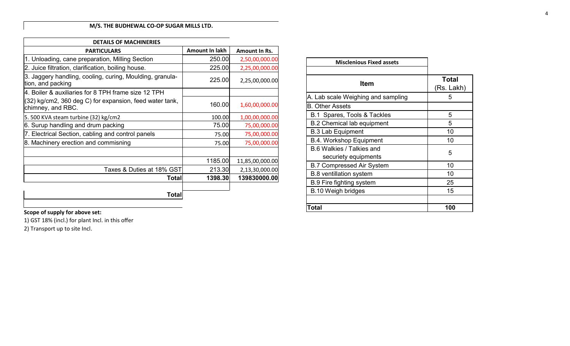| <b>DETAILS OF MACHINERIES</b>                                                 |                |                 |
|-------------------------------------------------------------------------------|----------------|-----------------|
| <b>PARTICULARS</b>                                                            | Amount In lakh | Amount In Rs.   |
| 1. Unloading, cane preparation, Milling Section                               | 250.00         | 2,50,00,000.00  |
| 2. Juice filtration, clarification, boiling house.                            | 225.00         | 2,25,00,000.00  |
| 3. Jaggery handling, cooling, curing, Moulding, granula-<br>tion, and packing | 225.00         | 2,25,00,000.00  |
| 4. Boiler & auxiliaries for 8 TPH frame size 12 TPH                           |                |                 |
| (32) kg/cm2, 360 deg C) for expansion, feed water tank,<br>chimney, and RBC.  | 160.00         | 1,60,00,000.00  |
| 5. 500 KVA steam turbine (32) kg/cm2                                          | 100.00         | 1,00,00,000.00  |
| 6. Surup handling and drum packing                                            | 75.00          | 75,00,000.00    |
| 7. Electrical Section, cabling and control panels                             | 75.00          | 75,00,000.00    |
| 8. Machinery erection and commisning                                          | 75.00          | 75,00,000.00    |
|                                                                               |                |                 |
|                                                                               | 1185.00        | 11,85,00,000.00 |
| Taxes & Duties at 18% GST                                                     | 213.30         | 2,13,30,000.00  |
| <b>Total</b>                                                                  | 1398.30        | 139830000.00    |
|                                                                               |                |                 |
| Total                                                                         |                |                 |

| <b>Misclenious Fixed assets</b>    |              |
|------------------------------------|--------------|
|                                    |              |
| Item                               | <b>Total</b> |
|                                    | (Rs. Lakh)   |
| A. Lab scale Weighing and sampling | 5            |
| <b>B. Other Assets</b>             |              |
| B.1 Spares, Tools & Tackles        | 5            |
| <b>B.2 Chemical lab equipment</b>  | 5            |
| <b>B.3 Lab Equipment</b>           | 10           |
| <b>B.4. Workshop Equipment</b>     | 10           |
| B 6 Walkies / Talkies and          |              |
| securiety equipments               | 5            |
| <b>B.7 Compressed Air System</b>   | 10           |
| <b>B.8</b> ventillation system     | 10           |
| <b>B.9 Fire fighting system</b>    | 25           |
| B.10 Weigh bridges                 | 15           |
|                                    |              |
| Total                              | 100          |

# **Scope of supply for above set:**

1) GST 18% (incl.) for plant Incl. in this offer

2) Transport up to site Incl.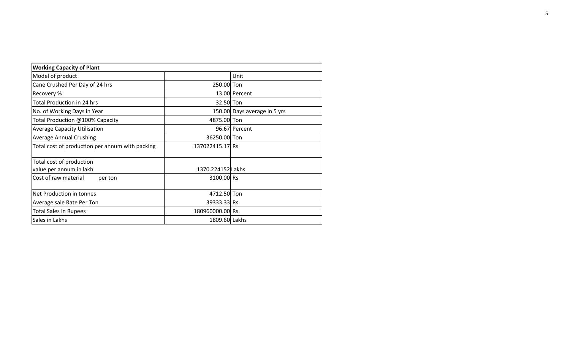| <b>Working Capacity of Plant</b>                |                   |                              |
|-------------------------------------------------|-------------------|------------------------------|
| Model of product                                |                   | Unit                         |
| Cane Crushed Per Day of 24 hrs                  | 250.00 Ton        |                              |
| Recovery %                                      |                   | 13.00 Percent                |
| <b>Total Production in 24 hrs</b>               | 32.50 Ton         |                              |
| No. of Working Days in Year                     |                   | 150.00 Days average in 5 yrs |
| Total Production @100% Capacity                 | 4875.00 Ton       |                              |
| <b>Average Capacity Utilisation</b>             |                   | 96.67 Percent                |
| <b>Average Annual Crushing</b>                  | 36250.00 Ton      |                              |
| Total cost of production per annum with packing | 137022415.17 Rs   |                              |
| Total cost of production                        |                   |                              |
| value per annum in lakh                         | 1370.224152 Lakhs |                              |
| Cost of raw material<br>per ton                 | 3100.00 Rs        |                              |
| Net Production in tonnes                        | 4712.50 Ton       |                              |
| Average sale Rate Per Ton                       | 39333.33 Rs.      |                              |
| <b>Total Sales in Rupees</b>                    | 180960000.00 Rs.  |                              |
| Sales in Lakhs                                  | 1809.60 Lakhs     |                              |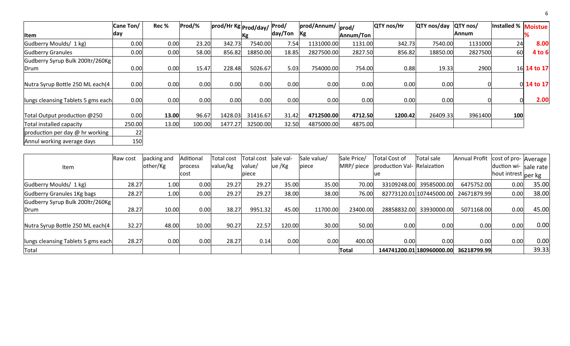|                                    | Cane Ton/ | Rec % | Prod/% | prod/Hr Kg Prod/day/ |          | Prod/   | prod/Annum/ | prod/     | <b>QTY</b> nos/Hr | QTY nos/day | QTY nos/ | Installed %   Moistue |                    |
|------------------------------------|-----------|-------|--------|----------------------|----------|---------|-------------|-----------|-------------------|-------------|----------|-----------------------|--------------------|
| <b>Item</b>                        | day       |       |        |                      | Kg       | day/Ton | Kg          | Annum/Ton |                   |             | lAnnum   |                       |                    |
| Gudberry Moulds/ 1 kg)             | 0.00      | 0.00  | 23.20  | 342.73               | 7540.00  | 7.54    | 1131000.00  | 1131.00   | 342.73            | 7540.00     | 1131000  | 24                    | 8.00               |
| Gudberry Granules                  | 0.00      | 0.00  | 58.00  | 856.82               | 18850.00 | 18.85   | 2827500.00  | 2827.50   | 856.82            | 18850.00    | 2827500  | 60                    | 4 to 6             |
| Gudberry Syrup Bulk 200ltr/260Kg   |           |       |        |                      |          |         |             |           |                   |             |          |                       |                    |
| Drum                               | 0.00      | 0.00  | 15.47  | 228.48               | 5026.67  | 5.03    | 754000.00   | 754.00    | 0.88              | 19.33       | 2900     |                       | 16 <b>14 to 17</b> |
|                                    |           |       |        |                      |          |         |             |           |                   |             |          |                       |                    |
| Nutra Syrup Bottle 250 ML each(4   | 0.00      | 0.00  | 0.00   | 0.00                 | 0.00     | 0.00    | 0.00        | 0.00      | 0.00              | 0.00        |          |                       | 0 14 to 17         |
| lungs cleansing Tablets 5 gms each | 0.00      | 0.00  | 0.00   | 0.00                 | 0.00     | 0.00    | 0.00        | 0.00      | 0.00              | 0.00        |          |                       | 2.00               |
| Total Output production @250       | 0.00      | 13.00 | 96.67  | 1428.03              | 31416.67 | 31.42   | 4712500.00  | 4712.50   | 1200.42           | 26409.33    | 3961400  | 100                   |                    |
| Total installed capacity           | 250.00    | 13.00 | 100.00 | 1477.27              | 32500.00 | 32.50   | 4875000.00  | 4875.00   |                   |             |          |                       |                    |
| production per day @ hr working    | 22        |       |        |                      |          |         |             |           |                   |             |          |                       |                    |
| Annul working average days         | 150       |       |        |                      |          |         |             |           |                   |             |          |                       |                    |

| Item                               | <b>IRaw cost</b> | packing and<br>other/Kg | Aditional<br>process | Total cost<br>value/kg | Total cost<br>value/ | Isale val<br>ue /Kg | Sale value/<br>piece | Sale Price/<br>MRP/ piece | <b>Total Cost of</b><br>production Val- Relaization | Total sale                | Annual Profit | cost of pro- Average I<br>duction wi- sale rate |       |
|------------------------------------|------------------|-------------------------|----------------------|------------------------|----------------------|---------------------|----------------------|---------------------------|-----------------------------------------------------|---------------------------|---------------|-------------------------------------------------|-------|
|                                    |                  |                         | cost                 |                        | piece                |                     |                      |                           | ue                                                  |                           |               | Ihout intrest oper kg                           |       |
| Gudberry Moulds/ 1 kg)             | 28.27            | 1.00                    | 0.00                 | 29.27                  | 29.27                | 35.00               | 35.00                | 70.00                     | 33109248.00                                         | 39585000.00               | 6475752.00    | 0.00                                            | 35.00 |
| Gudberry Granules 1Kg bags         | 28.27            | 1.00                    | 0.00                 | 29.27                  | 29.27                | 38.00               | 38.00                | 76.00                     |                                                     | 82773120.01 107445000.00  | 24671879.99   | 0.00                                            | 38.00 |
| Gudberry Syrup Bulk 200ltr/260Kg   |                  |                         |                      |                        |                      |                     |                      |                           |                                                     |                           |               |                                                 |       |
| Drum                               | 28.27            | 10.00                   | 0.00                 | 38.27                  | 9951.32              | 45.00               | 11700.00             | 23400.00                  | 28858832.00                                         | 33930000.00               | 5071168.00    | 0.00                                            | 45.00 |
| Nutra Syrup Bottle 250 ML each(4   | 32.27            | 48.00                   | 10.00                | 90.27                  | 22.57                | 120.00              | 30.00                | 50.00                     | 0.00                                                | 0.00                      | 0.00          | 0.00                                            | 0.00  |
| lungs cleansing Tablets 5 gms each | 28.27            | 0.00                    | 0.00                 | 28.27                  | 0.14                 | 0.00                | 0.00                 | 400.00                    | 0.00                                                | 0.00                      | 0.00          | 0.00                                            | 0.00  |
| Total                              |                  |                         |                      |                        |                      |                     |                      | Total                     |                                                     | 144741200.01 180960000.00 | 36218799.99   |                                                 | 39.33 |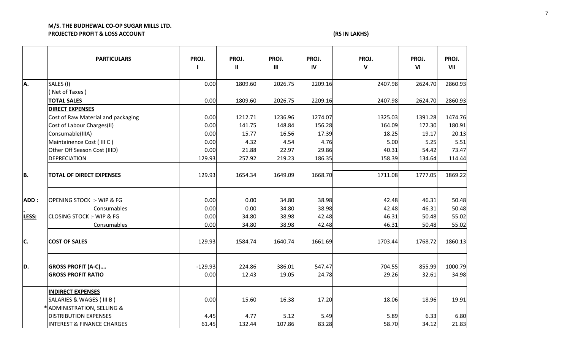# **M/S. THE BUDHEWAL CO-OP SUGAR MILLS LTD. PROJECTED PROFIT & LOSS ACCOUNT (RS IN LAKHS)**

|             | <b>PARTICULARS</b>                                     | PROJ.        | PROJ.<br>$\mathbf{II}$ | PROJ.<br>$\mathbf{III}$ | PROJ.<br>$\mathsf{IV}$ | PROJ.<br>$\mathbf v$ | PROJ.<br>VI     | PROJ.<br>VII  |
|-------------|--------------------------------------------------------|--------------|------------------------|-------------------------|------------------------|----------------------|-----------------|---------------|
| A.          | SALES (I)                                              | 0.00         | 1809.60                | 2026.75                 | 2209.16                | 2407.98              | 2624.70         | 2860.93       |
|             | Net of Taxes)                                          |              |                        |                         |                        |                      |                 |               |
|             | <b>TOTAL SALES</b>                                     | 0.00         | 1809.60                | 2026.75                 | 2209.16                | 2407.98              | 2624.70         | 2860.93       |
|             | <b>DIRECT EXPENSES</b>                                 |              |                        |                         |                        |                      |                 |               |
|             | Cost of Raw Material and packaging                     | 0.00         | 1212.71                | 1236.96                 | 1274.07                | 1325.03              | 1391.28         | 1474.76       |
|             | Cost of Labour Charges(II)<br>Consumable(IIIA)         | 0.00<br>0.00 | 141.75<br>15.77        | 148.84<br>16.56         | 156.28<br>17.39        | 164.09<br>18.25      | 172.30<br>19.17 | 180.91        |
|             | Maintainence Cost (III C)                              | 0.00         | 4.32                   | 4.54                    | 4.76                   | 5.00                 | 5.25            | 20.13<br>5.51 |
|             | Other Off Season Cost (IIID)                           | 0.00         | 21.88                  | 22.97                   | 29.86                  | 40.31                | 54.42           | 73.47         |
|             | <b>DEPRECIATION</b>                                    | 129.93       | 257.92                 | 219.23                  | 186.35                 | 158.39               | 134.64          | 114.44        |
|             |                                                        |              |                        |                         |                        |                      |                 |               |
| B.          | <b>TOTAL OF DIRECT EXPENSES</b>                        | 129.93       | 1654.34                | 1649.09                 | 1668.70                | 1711.08              | 1777.05         | 1869.22       |
| <b>ADD:</b> | <b>OPENING STOCK :- WIP &amp; FG</b>                   | 0.00         | 0.00                   | 34.80                   | 38.98                  | 42.48                | 46.31           | 50.48         |
|             | Consumables                                            | 0.00         | 0.00                   | 34.80                   | 38.98                  | 42.48                | 46.31           | 50.48         |
| LESS:       | <b>CLOSING STOCK :- WIP &amp; FG</b>                   | 0.00         | 34.80                  | 38.98                   | 42.48                  | 46.31                | 50.48           | 55.02         |
|             | Consumables                                            | 0.00         | 34.80                  | 38.98                   | 42.48                  | 46.31                | 50.48           | 55.02         |
|             |                                                        |              |                        |                         |                        |                      |                 |               |
| C.          | <b>COST OF SALES</b>                                   | 129.93       | 1584.74                | 1640.74                 | 1661.69                | 1703.44              | 1768.72         | 1860.13       |
|             |                                                        | $-129.93$    | 224.86                 |                         | 547.47                 | 704.55               |                 | 1000.79       |
| D.          | <b>GROSS PROFIT (A-C)</b><br><b>GROSS PROFIT RATIO</b> | 0.00         |                        | 386.01<br>19.05         | 24.78                  | 29.26                | 855.99<br>32.61 |               |
|             |                                                        |              | 12.43                  |                         |                        |                      |                 | 34.98         |
|             | <b>INDIRECT EXPENSES</b>                               |              |                        |                         |                        |                      |                 |               |
|             | SALARIES & WAGES (III B)                               | 0.00         | 15.60                  | 16.38                   | 17.20                  | 18.06                | 18.96           | 19.91         |
|             | * ADMINISTRATION, SELLING &                            |              |                        |                         |                        |                      |                 |               |
|             | <b>DISTRIBUTION EXPENSES</b>                           | 4.45         | 4.77                   | 5.12                    | 5.49                   | 5.89                 | 6.33            | 6.80          |
|             | <b>INTEREST &amp; FINANCE CHARGES</b>                  | 61.45        | 132.44                 | 107.86                  | 83.28                  | 58.70                | 34.12           | 21.83         |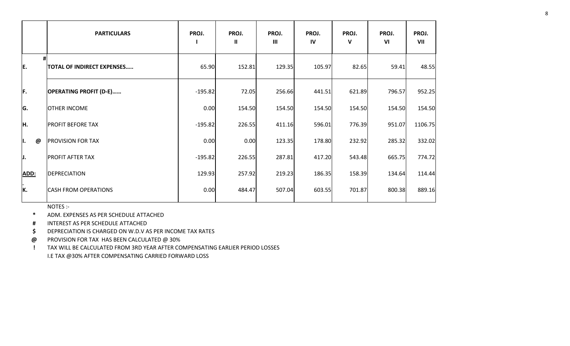|          | <b>PARTICULARS</b>            | PROJ.     | PROJ.<br>$\mathbf{u}$ | PROJ.<br>$\mathbf{III}$ | PROJ.<br>IV | PROJ.<br>V | PROJ.<br>VI | PROJ.<br>VII |
|----------|-------------------------------|-----------|-----------------------|-------------------------|-------------|------------|-------------|--------------|
| #<br>E.  | TOTAL OF INDIRECT EXPENSES    | 65.90     | 152.81                | 129.35                  | 105.97      | 82.65      | 59.41       | 48.55        |
| F.       | <b>OPERATING PROFIT (D-E)</b> | $-195.82$ | 72.05                 | 256.66                  | 441.51      | 621.89     | 796.57      | 952.25       |
| G.       | <b>OTHER INCOME</b>           | 0.00      | 154.50                | 154.50                  | 154.50      | 154.50     | 154.50      | 154.50       |
| ļн.      | <b>PROFIT BEFORE TAX</b>      | $-195.82$ | 226.55                | 411.16                  | 596.01      | 776.39     | 951.07      | 1106.75      |
| II.<br>@ | <b>PROVISION FOR TAX</b>      | 0.00      | 0.00                  | 123.35                  | 178.80      | 232.92     | 285.32      | 332.02       |
| IJ.      | <b>PROFIT AFTER TAX</b>       | $-195.82$ | 226.55                | 287.81                  | 417.20      | 543.48     | 665.75      | 774.72       |
| ADD:     | DEPRECIATION                  | 129.93    | 257.92                | 219.23                  | 186.35      | 158.39     | 134.64      | 114.44       |
| K.       | <b>CASH FROM OPERATIONS</b>   | 0.00      | 484.47                | 507.04                  | 603.55      | 701.87     | 800.38      | 889.16       |

NOTES :-

**\*** ADM. EXPENSES AS PER SCHEDULE ATTACHED

**#** INTEREST AS PER SCHEDULE ATTACHED

**\$** DEPRECIATION IS CHARGED ON W.D.V AS PER INCOME TAX RATES

**@** PROVISION FOR TAX HAS BEEN CALCULATED @ 30%

**!** TAX WILL BE CALCULATED FROM 3RD YEAR AFTER COMPENSATING EARLIER PERIOD LOSSES I.E TAX @30% AFTER COMPENSATING CARRIED FORWARD LOSS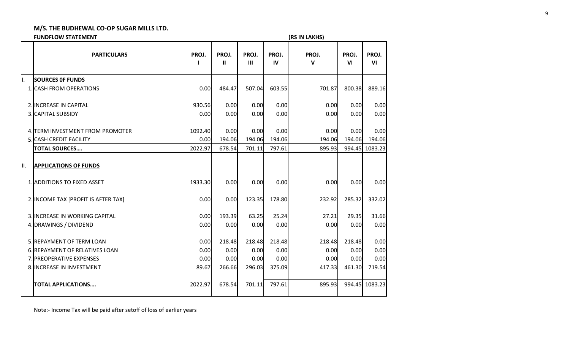|     | <b>FUNDFLOW STATEMENT</b>           |            |                       |                         |             | (RS IN LAKHS)         |             |                |
|-----|-------------------------------------|------------|-----------------------|-------------------------|-------------|-----------------------|-------------|----------------|
|     | <b>PARTICULARS</b>                  | PROJ.<br>1 | PROJ.<br>$\mathbf{u}$ | PROJ.<br>$\mathbf{III}$ | PROJ.<br>IV | PROJ.<br>$\mathbf{v}$ | PROJ.<br>VI | PROJ.<br>VI    |
| II. | <b>SOURCES OF FUNDS</b>             |            |                       |                         |             |                       |             |                |
|     | 1. CASH FROM OPERATIONS             | 0.00       | 484.47                | 507.04                  | 603.55      | 701.87                | 800.38      | 889.16         |
|     | 2. INCREASE IN CAPITAL              | 930.56     | 0.00                  | 0.00                    | 0.00        | 0.00                  | 0.00        | 0.00           |
|     | 3. CAPITAL SUBSIDY                  | 0.00       | 0.00                  | 0.00                    | 0.00        | 0.00                  | 0.00        | 0.00           |
|     | 4. TERM INVESTMENT FROM PROMOTER    | 1092.40    | 0.00                  | 0.00                    | 0.00        | 0.00                  | 0.00        | 0.00           |
|     | 5. CASH CREDIT FACILITY             | 0.00       | 194.06                | 194.06                  | 194.06      | 194.06                | 194.06      | 194.06         |
|     | <b>TOTAL SOURCES</b>                | 2022.97    | 678.54                | 701.11                  | 797.61      | 895.93                |             | 994.45 1083.23 |
| Ш.  | <b>APPLICATIONS OF FUNDS</b>        |            |                       |                         |             |                       |             |                |
|     | 1. ADDITIONS TO FIXED ASSET         | 1933.30    | 0.00                  | 0.00                    | 0.00        | 0.00                  | 0.00        | 0.00           |
|     | 2. INCOME TAX [PROFIT IS AFTER TAX] | 0.00       | 0.00                  | 123.35                  | 178.80      | 232.92                | 285.32      | 332.02         |
|     | 3. INCREASE IN WORKING CAPITAL      | 0.00       | 193.39                | 63.25                   | 25.24       | 27.21                 | 29.35       | 31.66          |
|     | 4. DRAWINGS / DIVIDEND              | 0.00       | 0.00                  | 0.00                    | 0.00        | 0.00                  | 0.00        | 0.00           |
|     | 5. REPAYMENT OF TERM LOAN           | 0.00       | 218.48                | 218.48                  | 218.48      | 218.48                | 218.48      | 0.00           |
|     | 6. REPAYMENT OF RELATIVES LOAN      | 0.00       | 0.00                  | 0.00                    | 0.00        | 0.00                  | 0.00        | 0.00           |
|     | 7. PREOPERATIVE EXPENSES            | 0.00       | 0.00                  | 0.00                    | 0.00        | 0.00                  | 0.00        | 0.00           |
|     | 8. INCREASE IN INVESTMENT           | 89.67      | 266.66                | 296.03                  | 375.09      | 417.33                | 461.30      | 719.54         |
|     | <b>TOTAL APPLICATIONS</b>           | 2022.97    | 678.54                | 701.11                  | 797.61      | 895.93                |             | 994.45 1083.23 |

Note:- Income Tax will be paid after setoff of loss of earlier years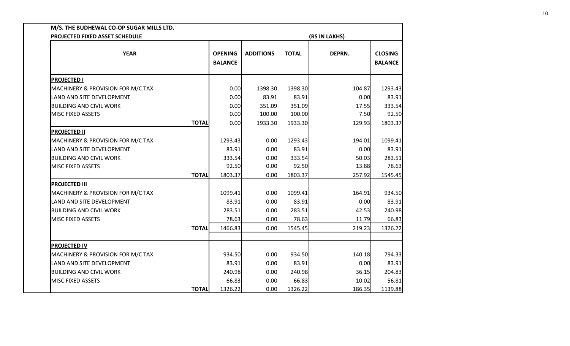| PROJECTED FIXED ASSET SCHEDULE    |              |                                  |                  |              | (RS IN LAKHS) |                                  |
|-----------------------------------|--------------|----------------------------------|------------------|--------------|---------------|----------------------------------|
| <b>YEAR</b>                       |              | <b>OPENING</b><br><b>BALANCE</b> | <b>ADDITIONS</b> | <b>TOTAL</b> | DEPRN.        | <b>CLOSING</b><br><b>BALANCE</b> |
| <b>PROJECTED I</b>                |              |                                  |                  |              |               |                                  |
| MACHINERY & PROVISION FOR M/C TAX |              | 0.00                             | 1398.30          | 1398.30      | 104.87        | 1293.43                          |
| <b>LAND AND SITE DEVELOPMENT</b>  |              | 0.00                             | 83.91            | 83.91        | 0.00          | 83.91                            |
| <b>BUILDING AND CIVIL WORK</b>    |              | 0.00                             | 351.09           | 351.09       | 17.55         | 333.54                           |
| <b>MISC FIXED ASSETS</b>          |              | 0.00                             | 100.00           | 100.00       | 7.50          | 92.50                            |
|                                   | <b>TOTAL</b> | 0.00                             | 1933.30          | 1933.30      | 129.93        | 1803.37                          |
| <b>PROJECTED II</b>               |              |                                  |                  |              |               |                                  |
| MACHINERY & PROVISION FOR M/C TAX |              | 1293.43                          | 0.00             | 1293.43      | 194.01        | 1099.41                          |
| LAND AND SITE DEVELOPMENT         |              | 83.91                            | 0.00             | 83.91        | 0.00          | 83.91                            |
| <b>BUILDING AND CIVIL WORK</b>    |              | 333.54                           | 0.00             | 333.54       | 50.03         | 283.51                           |
| <b>MISC FIXED ASSETS</b>          |              | 92.50                            | 0.00             | 92.50        | 13.88         | 78.63                            |
|                                   | <b>TOTAL</b> | 1803.37                          | 0.00             | 1803.37      | 257.92        | 1545.45                          |
| <b>PROJECTED III</b>              |              |                                  |                  |              |               |                                  |
| MACHINERY & PROVISION FOR M/C TAX |              | 1099.41                          | 0.00             | 1099.41      | 164.91        | 934.50                           |
| <b>LAND AND SITE DEVELOPMENT</b>  |              | 83.91                            | 0.00             | 83.91        | 0.00          | 83.91                            |
| <b>BUILDING AND CIVIL WORK</b>    |              | 283.51                           | 0.00             | 283.51       | 42.53         | 240.98                           |
| <b>MISC FIXED ASSETS</b>          |              | 78.63                            | 0.00             | 78.63        | 11.79         | 66.83                            |
|                                   | <b>TOTAL</b> | 1466.83                          | 0.00             | 1545.45      | 219.23        | 1326.22                          |
| <b>PROJECTED IV</b>               |              |                                  |                  |              |               |                                  |
| MACHINERY & PROVISION FOR M/C TAX |              | 934.50                           | 0.00             | 934.50       | 140.18        | 794.33                           |
| LAND AND SITE DEVELOPMENT         |              | 83.91                            | 0.00             | 83.91        | 0.00          | 83.91                            |
| <b>BUILDING AND CIVIL WORK</b>    |              | 240.98                           | 0.00             | 240.98       | 36.15         | 204.83                           |
| <b>MISC FIXED ASSETS</b>          |              | 66.83                            | 0.00             | 66.83        | 10.02         | 56.81                            |
|                                   | <b>TOTAL</b> | 1326.22                          | 0.00             | 1326.22      | 186.35        | 1139.88                          |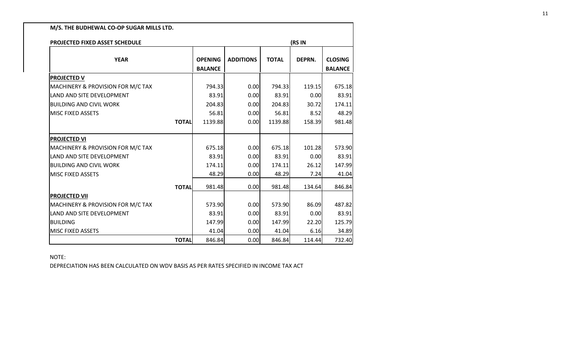| PROJECTED FIXED ASSET SCHEDULE               |              |                                  |                  |              | (RS IN |                                  |
|----------------------------------------------|--------------|----------------------------------|------------------|--------------|--------|----------------------------------|
| <b>YEAR</b>                                  |              | <b>OPENING</b><br><b>BALANCE</b> | <b>ADDITIONS</b> | <b>TOTAL</b> | DEPRN. | <b>CLOSING</b><br><b>BALANCE</b> |
| <b>PROJECTED V</b>                           |              |                                  |                  |              |        |                                  |
| MACHINERY & PROVISION FOR M/C TAX            |              | 794.33                           | 0.00             | 794.33       | 119.15 | 675.18                           |
| LAND AND SITE DEVELOPMENT                    |              | 83.91                            | 0.00             | 83.91        | 0.00   | 83.91                            |
| <b>BUILDING AND CIVIL WORK</b>               |              | 204.83                           | 0.00             | 204.83       | 30.72  | 174.11                           |
| <b>MISC FIXED ASSETS</b>                     |              | 56.81                            | 0.00             | 56.81        | 8.52   | 48.29                            |
|                                              | <b>TOTAL</b> | 1139.88                          | 0.00             | 1139.88      | 158.39 | 981.48                           |
| <b>PROJECTED VI</b>                          |              |                                  |                  |              |        |                                  |
| <b>MACHINERY &amp; PROVISION FOR M/C TAX</b> |              | 675.18                           | 0.00             | 675.18       | 101.28 | 573.90                           |
| <b>LAND AND SITE DEVELOPMENT</b>             |              | 83.91                            | 0.00             | 83.91        | 0.00   | 83.91                            |
| <b>BUILDING AND CIVIL WORK</b>               |              | 174.11                           | 0.00             | 174.11       | 26.12  | 147.99                           |
| <b>MISC FIXED ASSETS</b>                     |              | 48.29                            | 0.00             | 48.29        | 7.24   | 41.04                            |
|                                              | <b>TOTAL</b> | 981.48                           | 0.00             | 981.48       | 134.64 | 846.84                           |
| <b>PROJECTED VII</b>                         |              |                                  |                  |              |        |                                  |
| MACHINERY & PROVISION FOR M/C TAX            |              | 573.90                           | 0.00             | 573.90       | 86.09  | 487.82                           |
| LAND AND SITE DEVELOPMENT                    |              | 83.91                            | 0.00             | 83.91        | 0.00   | 83.91                            |
| <b>BUILDING</b>                              |              | 147.99                           | 0.00             | 147.99       | 22.20  | 125.79                           |
| <b>MISC FIXED ASSETS</b>                     |              | 41.04                            | 0.00             | 41.04        | 6.16   | 34.89                            |
|                                              | <b>TOTAL</b> | 846.84                           | 0.00             | 846.84       | 114.44 | 732.40                           |

NOTE:

DEPRECIATION HAS BEEN CALCULATED ON WDV BASIS AS PER RATES SPECIFIED IN INCOME TAX ACT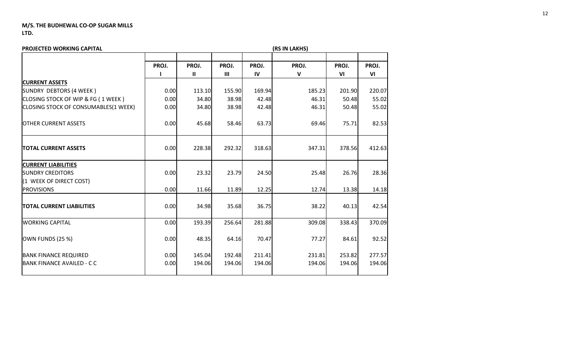| PROJECTED WORKING CAPITAL                                                        |       |            |              |                        | (RS IN LAKHS) |             |             |
|----------------------------------------------------------------------------------|-------|------------|--------------|------------------------|---------------|-------------|-------------|
|                                                                                  | PROJ. | PROJ.<br>Ш | PROJ.<br>III | PROJ.<br>$\mathsf{IV}$ | PROJ.<br>V    | PROJ.<br>VI | PROJ.<br>VI |
| <b>CURRENT ASSETS</b>                                                            |       |            |              |                        |               |             |             |
| SUNDRY DEBTORS (4 WEEK)                                                          | 0.00  | 113.10     | 155.90       | 169.94                 | 185.23        | 201.90      | 220.07      |
| CLOSING STOCK OF WIP & FG (1 WEEK)                                               | 0.00  | 34.80      | 38.98        | 42.48                  | 46.31         | 50.48       | 55.02       |
| CLOSING STOCK OF CONSUMABLES(1 WEEK)                                             | 0.00  | 34.80      | 38.98        | 42.48                  | 46.31         | 50.48       | 55.02       |
| <b>OTHER CURRENT ASSETS</b>                                                      | 0.00  | 45.68      | 58.46        | 63.73                  | 69.46         | 75.71       | 82.53       |
| <b>TOTAL CURRENT ASSETS</b>                                                      | 0.00  | 228.38     | 292.32       | 318.63                 | 347.31        | 378.56      | 412.63      |
| <b>CURRENT LIABILITIES</b><br><b>SUNDRY CREDITORS</b><br>(1 WEEK OF DIRECT COST) | 0.00  | 23.32      | 23.79        | 24.50                  | 25.48         | 26.76       | 28.36       |
| <b>PROVISIONS</b>                                                                | 0.00  | 11.66      | 11.89        | 12.25                  | 12.74         | 13.38       | 14.18       |
| <b>TOTAL CURRENT LIABILITIES</b>                                                 | 0.00  | 34.98      | 35.68        | 36.75                  | 38.22         | 40.13       | 42.54       |
| <b>WORKING CAPITAL</b>                                                           | 0.00  | 193.39     | 256.64       | 281.88                 | 309.08        | 338.43      | 370.09      |
| OWN FUNDS (25 %)                                                                 | 0.00  | 48.35      | 64.16        | 70.47                  | 77.27         | 84.61       | 92.52       |
| <b>BANK FINANCE REQUIRED</b>                                                     | 0.00  | 145.04     | 192.48       | 211.41                 | 231.81        | 253.82      | 277.57      |
| <b>BANK FINANCE AVAILED - C C</b>                                                | 0.00  | 194.06     | 194.06       | 194.06                 | 194.06        | 194.06      | 194.06      |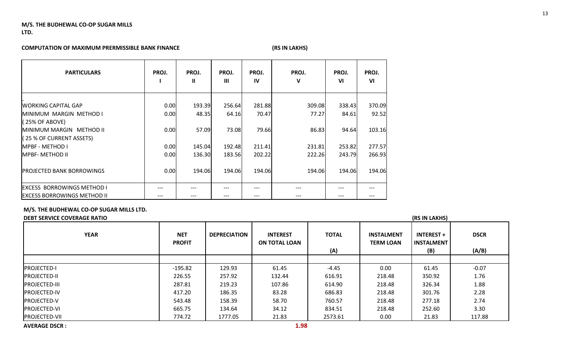### **COMPUTATION OF MAXIMUM PRERMISSIBLE BANK FINANCE** *(RS IN LAKHS)*

| <b>PARTICULARS</b>                                           | PROJ. | PROJ.<br>н | PROJ.<br>Ш | PROJ.<br>IV | PROJ.<br>v | PROJ.<br>V <sub>l</sub> | PROJ.<br>V <sub>l</sub> |
|--------------------------------------------------------------|-------|------------|------------|-------------|------------|-------------------------|-------------------------|
| <b>WORKING CAPITAL GAP</b>                                   | 0.00  | 193.39     | 256.64     | 281.88      | 309.08     | 338.43                  | 370.09                  |
| IMINIMUM MARGIN METHOD I<br>(25% OF ABOVE)                   | 0.00  | 48.35      | 64.16      | 70.47       | 77.27      | 84.61                   | 92.52                   |
| <b>IMINIMUM MARGIN METHOD II</b><br>(25 % OF CURRENT ASSETS) | 0.00  | 57.09      | 73.08      | 79.66       | 86.83      | 94.64                   | 103.16                  |
| <b>MPBF - METHOD I</b>                                       | 0.00  | 145.04     | 192.48     | 211.41      | 231.81     | 253.82                  | 277.57                  |
| <b>IMPBF- METHOD II</b>                                      | 0.00  | 136.30     | 183.56     | 202.22      | 222.26     | 243.79                  | 266.93                  |
| <b>PROJECTED BANK BORROWINGS</b>                             | 0.00  | 194.06     | 194.06     | 194.06      | 194.06     | 194.06                  | 194.06                  |
| <b>EXCESS BORROWINGS METHOD I</b>                            | ---   |            |            |             |            |                         |                         |
| <b>IEXCESS BORROWINGS METHOD II</b>                          | ---   | ---        | ---        | ---         | ---        |                         | ---                     |

### **M/S. THE BUDHEWAL CO-OP SUGAR MILLS LTD.**

### **DEBT SERVICE COVERAGE RATIO (RS IN LAKHS)**

| <b>YEAR</b>           | <b>NET</b><br><b>PROFIT</b> | <b>DEPRECIATION</b> | <b>INTEREST</b><br><b>ON TOTAL LOAN</b> | <b>TOTAL</b><br>(A) | <b>INSTALMENT</b><br><b>TERM LOAN</b> | <b>INTEREST +</b><br><b>INSTALMENT</b><br>(B) | <b>DSCR</b><br>(A/B) |
|-----------------------|-----------------------------|---------------------|-----------------------------------------|---------------------|---------------------------------------|-----------------------------------------------|----------------------|
|                       |                             |                     |                                         |                     |                                       |                                               |                      |
| <b>PROJECTED-I</b>    | $-195.82$                   | 129.93              | 61.45                                   | $-4.45$             | 0.00                                  | 61.45                                         | $-0.07$              |
| <b>PROJECTED-II</b>   | 226.55                      | 257.92              | 132.44                                  | 616.91              | 218.48                                | 350.92                                        | 1.76                 |
| <b>IPROJECTED-III</b> | 287.81                      | 219.23              | 107.86                                  | 614.90              | 218.48                                | 326.34                                        | 1.88                 |
| <b>PROJECTED-IV</b>   | 417.20                      | 186.35              | 83.28                                   | 686.83              | 218.48                                | 301.76                                        | 2.28                 |
| <b>PROJECTED-V</b>    | 543.48                      | 158.39              | 58.70                                   | 760.57              | 218.48                                | 277.18                                        | 2.74                 |
| <b>PROJECTED-VI</b>   | 665.75                      | 134.64              | 34.12                                   | 834.51              | 218.48                                | 252.60                                        | 3.30                 |
| <b>PROJECTED-VII</b>  | 774.72                      | 1777.05             | 21.83                                   | 2573.61             | 0.00                                  | 21.83                                         | 117.88               |
| <b>AVERAGE DSCR:</b>  |                             |                     | 1.98                                    |                     |                                       |                                               |                      |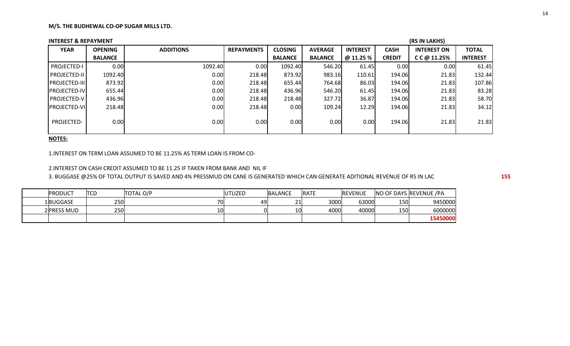| <b>INTEREST &amp; REPAYMENT</b> |                |                  |                   |                |                |                 |               | (RS IN LAKHS)      |                 |
|---------------------------------|----------------|------------------|-------------------|----------------|----------------|-----------------|---------------|--------------------|-----------------|
| <b>YEAR</b>                     | <b>OPENING</b> | <b>ADDITIONS</b> | <b>REPAYMENTS</b> | <b>CLOSING</b> | <b>AVERAGE</b> | <b>INTEREST</b> | <b>CASH</b>   | <b>INTEREST ON</b> | <b>TOTAL</b>    |
|                                 | <b>BALANCE</b> |                  |                   | <b>BALANCE</b> | <b>BALANCE</b> | @ 11.25 %       | <b>CREDIT</b> | $C$ C $@$ 11.25%   | <b>INTEREST</b> |
| <b>PROJECTED-I</b>              | 0.00           | 1092.40          | 0.00              | 1092.40        | 546.20         | 61.45           | 0.00          | 0.00               | 61.45           |
| <b>PROJECTED-II</b>             | 1092.40        | 0.00             | 218.48            | 873.92         | 983.16         | 110.61          | 194.06        | 21.83              | 132.44          |
| <b>PROJECTED-III</b>            | 873.92         | 0.00             | 218.48            | 655.44         | 764.68         | 86.03           | 194.06        | 21.83              | 107.86          |
| <b>PROJECTED-IV</b>             | 655.44         | 0.00             | 218.48            | 436.96         | 546.20         | 61.45           | 194.06        | 21.83              | 83.28           |
| <b>PROJECTED-V</b>              | 436.96         | 0.00             | 218.48            | 218.48         | 327.72         | 36.87           | 194.06        | 21.83              | 58.70           |
| <b>PROJECTED-VI</b>             | 218.48         | 0.00             | 218.48            | 0.00           | 109.24         | 12.29           | 194.06        | 21.83              | 34.12           |
| PROJECTED-                      | 0.00           | 0.00             | 0.00              | 0.00           | 0.00           | 0.00            | 194.06        | 21.83              | 21.83           |

**NOTES:**

1.INTEREST ON TERM LOAN ASSUMED TO BE 11.25% AS TERM LOAN IS FROM CO-

2.INTEREST ON CASH CREDIT ASSUMED TO BE 11.25 IF TAKEN FROM BANK AND NIL IF

3. BUGGASE @25% OF TOTAL OUTPUT IS SAVED AND 4% PRESSMUD ON CANE IS GENERATED WHICH CAN GENERATE ADITIONAL REVENUE OF RS IN LAC **155**

| <b>PRODUCT</b> | TCD | <b>TOTAL O/P</b> | UTLIZED | BALANCE             | <b>RATE</b> | <b>REVENUE</b> |     | NO OF DAYS REVENUE /PA |
|----------------|-----|------------------|---------|---------------------|-------------|----------------|-----|------------------------|
| 1BUGGASE       | 250 | 70               | 49      | $\sim$<br><u> 1</u> | 3000        | 63000          | 150 | 9450000                |
| 2 PRESS MUD    | 250 | 10               |         | 10                  | 4000        | 40000          | 150 | 6000000                |
|                |     |                  |         |                     |             |                |     | 15450000               |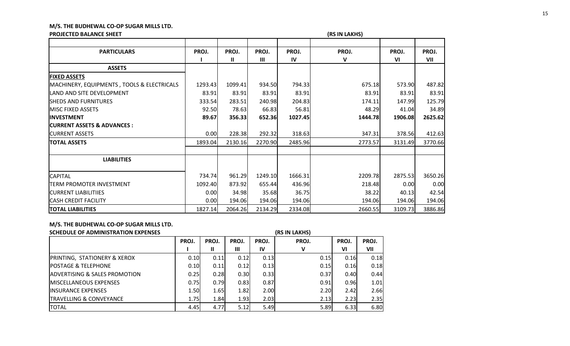# **PROJECTED BALANCE SHEET (RS IN LAKHS)**

|                                                       |         |                       |            |             | , <sub>1</sub> |             |              |
|-------------------------------------------------------|---------|-----------------------|------------|-------------|----------------|-------------|--------------|
| <b>PARTICULARS</b>                                    | PROJ.   | PROJ.<br>$\mathbf{I}$ | PROJ.<br>Ш | PROJ.<br>IV | PROJ.<br>V     | PROJ.<br>VI | PROJ.<br>VII |
| <b>ASSETS</b>                                         |         |                       |            |             |                |             |              |
| <b>FIXED ASSETS</b>                                   |         |                       |            |             |                |             |              |
| <b>MACHINERY, EQUIPMENTS, TOOLS &amp; ELECTRICALS</b> | 1293.43 | 1099.41               | 934.50     | 794.33      | 675.18         | 573.90      | 487.82       |
| LAND AND SITE DEVELOPMENT                             | 83.91   | 83.91                 | 83.91      | 83.91       | 83.91          | 83.91       | 83.91        |
| <b>SHEDS AND FURNITURES</b>                           | 333.54  | 283.51                | 240.98     | 204.83      | 174.11         | 147.99      | 125.79       |
| <b>IMISC FIXED ASSETS</b>                             | 92.50   | 78.63                 | 66.83      | 56.81       | 48.29          | 41.04       | 34.89        |
| <b>INVESTMENT</b>                                     | 89.67   | 356.33                | 652.36     | 1027.45     | 1444.78        | 1906.08     | 2625.62      |
| <b>CURRENT ASSETS &amp; ADVANCES :</b>                |         |                       |            |             |                |             |              |
| <b>CURRENT ASSETS</b>                                 | 0.00    | 228.38                | 292.32     | 318.63      | 347.31         | 378.56      | 412.63       |
| <b>TOTAL ASSETS</b>                                   | 1893.04 | 2130.16               | 2270.90    | 2485.96     | 2773.57        | 3131.49     | 3770.66      |
|                                                       |         |                       |            |             |                |             |              |
| <b>LIABILITIES</b>                                    |         |                       |            |             |                |             |              |
| <b>CAPITAL</b>                                        | 734.74  | 961.29                | 1249.10    | 1666.31     | 2209.78        | 2875.53     | 3650.26      |
| <b>TERM PROMOTER INVESTMENT</b>                       | 1092.40 | 873.92                | 655.44     | 436.96      | 218.48         | 0.00        | 0.00         |
| <b>CURRENT LIABILITIIES</b>                           | 0.00    | 34.98                 | 35.68      | 36.75       | 38.22          | 40.13       | 42.54        |
| <b>CASH CREDIT FACILITY</b>                           | 0.00    | 194.06                | 194.06     | 194.06      | 194.06         | 194.06      | 194.06       |
| <b>TOTAL LIABILITIES</b>                              | 1827.14 | 2064.26               | 2134.29    | 2334.08     | 2660.55        | 3109.73     | 3886.86      |

# **M/S. THE BUDHEWAL CO-OP SUGAR MILLS LTD.**

| SCHEDULE OF ADMINISTRATION EXPENSES       |       |              |       |       | (RS IN LAKHS) |       |       |
|-------------------------------------------|-------|--------------|-------|-------|---------------|-------|-------|
|                                           | PROJ. | PROJ.        | PROJ. | PROJ. | PROJ.         | PROJ. | PROJ. |
|                                           |       | $\mathbf{I}$ | Ш     | IV    | v             | VI    | VII   |
| <b>PRINTING, STATIONERY &amp; XEROX</b>   | 0.10  | 0.11         | 0.12  | 0.13  | 0.15          | 0.16  | 0.18  |
| <b>POSTAGE &amp; TELEPHONE</b>            | 0.10  | 0.11         | 0.12  | 0.13  | 0.15          | 0.16  | 0.18  |
| <b>JADVERTISING &amp; SALES PROMOTION</b> | 0.25  | 0.28         | 0.30  | 0.33  | 0.37          | 0.40  | 0.44  |
| <b>IMISCELLANEOUS EXPENSES</b>            | 0.75  | 0.79         | 0.83  | 0.87  | 0.91          | 0.96  | 1.01  |
| <b>INSURANCE EXPENSES</b>                 | 1.50  | 1.65         | 1.82  | 2.00  | 2.20          | 2.42  | 2.66  |
| <b>TRAVELLING &amp; CONVEYANCE</b>        | 1.75  | 1.84         | 1.93  | 2.03  | 2.13          | 2.23  | 2.35  |
| <b>TOTAL</b>                              | 4.45  | 4.77         | 5.12  | 5.49  | 5.89          | 6.33  | 6.80  |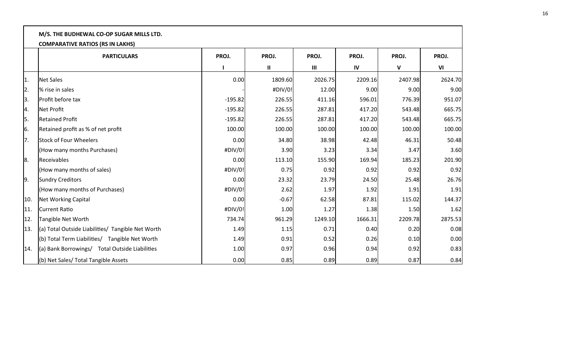|     | M/S. THE BUDHEWAL CO-OP SUGAR MILLS LTD.                      |           |               |                |         |              |         |  |  |  |  |
|-----|---------------------------------------------------------------|-----------|---------------|----------------|---------|--------------|---------|--|--|--|--|
|     | <b>COMPARATIVE RATIOS (RS IN LAKHS)</b><br><b>PARTICULARS</b> | PROJ.     | PROJ.         | PROJ.          | PROJ.   | PROJ.        | PROJ.   |  |  |  |  |
|     |                                                               |           | $\mathbf{II}$ | $\mathbf{III}$ | IV      | $\mathsf{V}$ | VI      |  |  |  |  |
| 1.  | <b>Net Sales</b>                                              | 0.00      | 1809.60       | 2026.75        | 2209.16 | 2407.98      | 2624.70 |  |  |  |  |
| 2.  | % rise in sales                                               |           | #DIV/0!       | 12.00          | 9.00    | 9.00         | 9.00    |  |  |  |  |
| 3.  | Profit before tax                                             | $-195.82$ | 226.55        | 411.16         | 596.01  | 776.39       | 951.07  |  |  |  |  |
| 4.  | Net Profit                                                    | $-195.82$ | 226.55        | 287.81         | 417.20  | 543.48       | 665.75  |  |  |  |  |
| 5.  | <b>Retained Profit</b>                                        | $-195.82$ | 226.55        | 287.81         | 417.20  | 543.48       | 665.75  |  |  |  |  |
| 6.  | Retained profit as % of net profit                            | 100.00    | 100.00        | 100.00         | 100.00  | 100.00       | 100.00  |  |  |  |  |
| 7.  | <b>Stock of Four Wheelers</b>                                 | 0.00      | 34.80         | 38.98          | 42.48   | 46.31        | 50.48   |  |  |  |  |
|     | (How many months Purchases)                                   | #DIV/0!   | 3.90          | 3.23           | 3.34    | 3.47         | 3.60    |  |  |  |  |
| 8.  | Receivables                                                   | 0.00      | 113.10        | 155.90         | 169.94  | 185.23       | 201.90  |  |  |  |  |
|     | (How many months of sales)                                    | #DIV/0!   | 0.75          | 0.92           | 0.92    | 0.92         | 0.92    |  |  |  |  |
| 9.  | <b>Sundry Creditors</b>                                       | 0.00      | 23.32         | 23.79          | 24.50   | 25.48        | 26.76   |  |  |  |  |
|     | (How many months of Purchases)                                | #DIV/0!   | 2.62          | 1.97           | 1.92    | 1.91         | 1.91    |  |  |  |  |
| 10. | Net Working Capital                                           | 0.00      | $-0.67$       | 62.58          | 87.81   | 115.02       | 144.37  |  |  |  |  |
| 11. | Current Ratio                                                 | #DIV/0!   | 1.00          | 1.27           | 1.38    | 1.50         | 1.62    |  |  |  |  |
| 12. | Tangible Net Worth                                            | 734.74    | 961.29        | 1249.10        | 1666.31 | 2209.78      | 2875.53 |  |  |  |  |
| 13. | (a) Total Outside Liabilities/ Tangible Net Worth             | 1.49      | 1.15          | 0.71           | 0.40    | 0.20         | 0.08    |  |  |  |  |
|     | (b) Total Term Liabilities/ Tangible Net Worth                | 1.49      | 0.91          | 0.52           | 0.26    | 0.10         | 0.00    |  |  |  |  |
| 14. | (a) Bank Borrowings/ Total Outside Liabilities                | 1.00      | 0.97          | 0.96           | 0.94    | 0.92         | 0.83    |  |  |  |  |
|     | (b) Net Sales/ Total Tangible Assets                          | 0.00      | 0.85          | 0.89           | 0.89    | 0.87         | 0.84    |  |  |  |  |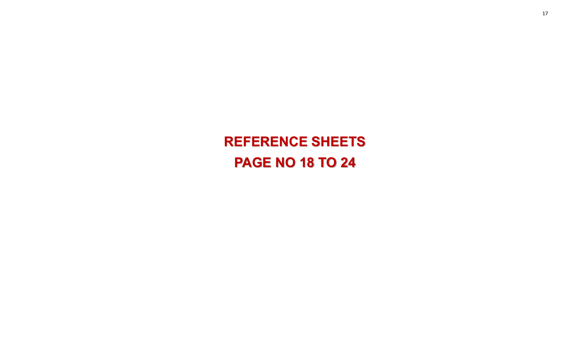**REFERENCE SHEETS PAGE NO 18 TO 24**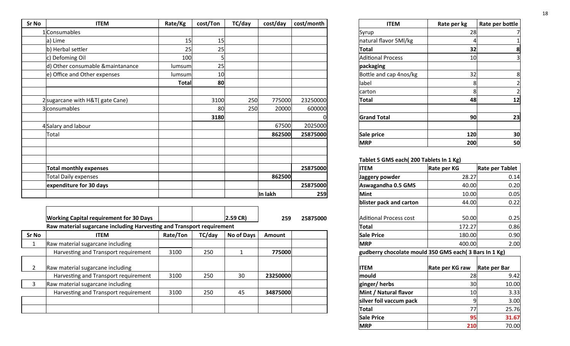| Sr No | <b>ITEM</b>                       | Rate/Kg      | cost/Ton | TC/day | cost/day | cost/month | <b>ITEM</b>                            | Rate per kg | Rate per bottle |
|-------|-----------------------------------|--------------|----------|--------|----------|------------|----------------------------------------|-------------|-----------------|
|       | 1 Consumables                     |              |          |        |          |            | Syrup                                  | 28          |                 |
|       | a) Lime                           | 15           | 15       |        |          |            | natural flavor 5Ml/kg                  |             |                 |
|       | b) Herbal settler                 | 25           | 25       |        |          |            | <b>Total</b>                           | 32          | 8               |
|       | c) Defoming Oil                   | 100          |          |        |          |            | <b>Aditional Process</b>               | 10          | 3               |
|       | d) Other consumable & maintanance | lumsum       | 25       |        |          |            | packaging                              |             |                 |
|       | e) Office and Other expenses      | lumsum       | 10       |        |          |            | Bottle and cap 4nos/kg                 | 32          | 8               |
|       |                                   | <b>Total</b> | 80       |        |          |            | label                                  | 8           |                 |
|       |                                   |              |          |        |          |            | carton                                 | 8           | $\mathcal{P}$   |
|       | 2 sugarcane with H&T (gate Cane)  |              | 3100     | 250    | 775000   | 23250000   | <b>Total</b>                           | 48          | 12              |
|       | 3 consumables                     |              | 80       | 250    | 20000    | 600000     |                                        |             |                 |
|       |                                   |              | 3180     |        |          |            | <b>Grand Total</b>                     | 90          | 23              |
|       | 4 Salary and labour               |              |          |        | 67500    | 2025000    |                                        |             |                 |
|       | Total                             |              |          |        | 862500   | 25875000   | Sale price                             | 120         | 30              |
|       |                                   |              |          |        |          |            | <b>MRP</b>                             | 200         | 50              |
|       |                                   |              |          |        |          |            |                                        |             |                 |
|       |                                   |              |          |        |          |            | Tablet 5 GMS each(200 Tablets In 1 Kg) |             |                 |
|       | <b>Total monthly expenses</b>     |              |          |        |          | 25875000   | <b>ITEM</b>                            | Rate per KG | Rate per Tablet |
|       | <b>Total Daily expenses</b>       |              |          |        | 862500   |            | Jaggery powder                         | 28.27       | 0.14            |
|       | expenditure for 30 days           |              |          |        |          | 25875000   | Aswagandha 0.5 GMS                     | 40.00       | 0.20            |
|       |                                   |              |          |        | In lakh  | 259        | <b>Mint</b>                            | 10.00       | 0.05            |

|              | <b>Working Capital requirement for 30 Days</b>                        |          |        | $2.59 \text{ CR}$ | 259      | 25875000 | Aditional Process cost                                | 50.00           | 0.25         |
|--------------|-----------------------------------------------------------------------|----------|--------|-------------------|----------|----------|-------------------------------------------------------|-----------------|--------------|
|              | Raw material sugarcane including Harvesting and Transport requirement |          |        |                   |          |          | <b>Total</b>                                          | 172.27          | 0.86         |
| <b>Sr No</b> | <b>ITEM</b>                                                           | Rate/Ton | TC/day | No of Days        | Amount   |          | <b>Sale Price</b>                                     | 180.00          | 0.90         |
|              | Raw material sugarcane including                                      |          |        |                   |          |          | <b>MRP</b>                                            | 400.00          | 2.00         |
|              | Harvesting and Transport requirement                                  | 3100     | 250    |                   | 775000   |          | gudberry chocolate mould 350 GMS each(3 Bars In 1 Kg) |                 |              |
|              | Raw material sugarcane including                                      |          |        |                   |          |          | <b>ITEM</b>                                           | Rate per KG raw | Rate per Bar |
|              | Harvesting and Transport requirement                                  | 3100     | 250    | 30                | 23250000 |          | mould                                                 | 28I             | 9.42         |
|              | Raw material sugarcane including                                      |          |        |                   |          |          | ginger/herbs                                          | 30              | 10.00        |
|              | Harvesting and Transport requirement                                  | 3100     | 250    | 45                | 34875000 |          | Mint / Natural flavor                                 | 10 <sub>l</sub> | 3.33         |
|              |                                                                       |          |        |                   |          |          | silver foil vaccum pack                               |                 | 3.00         |
|              |                                                                       |          |        |                   |          |          | Total                                                 | 77              | 25.76        |
|              |                                                                       |          |        |                   |          |          |                                                       |                 |              |

| Κg           | cost/Ton | TC/day | cost/day | cost/month | <b>ITEM</b>              | Rate per kg | Rate per bottle         |
|--------------|----------|--------|----------|------------|--------------------------|-------------|-------------------------|
|              |          |        |          |            | Syrup                    | 28          |                         |
| 15           | 15       |        |          |            | natural flavor 5Ml/kg    | 4           |                         |
| 25           | 25       |        |          |            | <b>Total</b>             | 32          | 8                       |
| 100          | 5        |        |          |            | <b>Aditional Process</b> | 10          | $\overline{\mathsf{3}}$ |
| nsuml        | 25       |        |          |            | packaging                |             |                         |
| nsuml        | 10       |        |          |            | Bottle and cap 4nos/kg   | 32          | 8                       |
| <b>Total</b> | 80       |        |          |            | label                    | 8           | 2                       |
|              |          |        |          |            | carton                   | 8           |                         |
|              | 3100     | 250    | 775000   | 23250000   | <b>Total</b>             | 48          | 12                      |
|              | 80       | 250    | 20000    | 600000     |                          |             |                         |
|              | 3180     |        |          |            | <b>Grand Total</b>       | 90          | 23                      |
|              |          |        | 67500    | 2025000    |                          |             |                         |
|              |          |        | 862500   | 25875000   | Sale price               | 120         | 30                      |
|              |          |        |          |            | <b>MRP</b>               | 200         | 50                      |

# **Tablet 5 GMS each( 200 Tablets In 1 Kg)**

|          | 25875000 | <b>ITEM</b>                                           | Rate per KG     | Rate per Tablet |
|----------|----------|-------------------------------------------------------|-----------------|-----------------|
| 862500   |          | Jaggery powder                                        | 28.27           | 0.14            |
|          | 25875000 | Aswagandha 0.5 GMS                                    | 40.00           | 0.20            |
| In lakh  | 259      | Mint                                                  | 10.00           | 0.05            |
|          |          | blister pack and carton                               | 44.00           | 0.22            |
| 259      | 25875000 | <b>Aditional Process cost</b>                         | 50.00           | 0.25            |
|          |          | Total                                                 | 172.27          | 0.86            |
| Amount   |          | <b>Sale Price</b>                                     | 180.00          | 0.90            |
|          |          | <b>MRP</b>                                            | 400.00          | 2.00            |
| 775000   |          | gudberry chocolate mould 350 GMS each(3 Bars In 1 Kg) |                 |                 |
|          |          | <b>ITEM</b>                                           | Rate per KG raw | Rate per Bar    |
| 23250000 |          | mould                                                 | 28              | 9.42            |
|          |          | ginger/herbs                                          | 30              | 10.00           |
| 34875000 |          | Mint / Natural flavor                                 | 10              | 3.33            |
|          |          | silver foil vaccum pack                               | 9               | 3.00            |
|          |          | <b>Total</b>                                          | 77              | 25.76           |
|          |          | <b>Sale Price</b>                                     | 95              | 31.67           |
|          |          | <b>MRP</b>                                            | 210             | 70.00           |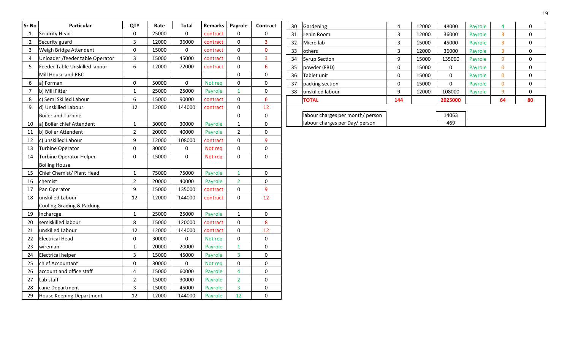| Sr No                   | Particular                      | <b>QTY</b>              | Rate  | Total     | <b>Remarks</b> | Payrole        | Contract        |
|-------------------------|---------------------------------|-------------------------|-------|-----------|----------------|----------------|-----------------|
| 1                       | Security Head                   | 0                       | 25000 | 0         | contract       | 0              | 0               |
| $\overline{2}$          | Security guard                  | 3                       | 12000 | 36000     | contract       | 0              | 3               |
| 3                       | Weigh Bridge Attendent          | $\mathbf 0$             | 15000 | 0         | contract       | 0              | 0               |
| $\overline{\mathbf{4}}$ | Unloader /feeder table Operator | 3                       | 15000 | 45000     | contract       | 0              | 3               |
| 5                       | Feeder Table Unskilled labour   | 6                       | 12000 | 72000     | contract       | 0              | 6               |
|                         | Mill House and RBC              |                         |       |           |                | $\pmb{0}$      | 0               |
| 6                       | a) Forman                       | $\pmb{0}$               | 50000 | $\pmb{0}$ | Not req        | $\mathbf 0$    | 0               |
| $\overline{7}$          | b) Mill Fitter                  | $\mathbf{1}$            | 25000 | 25000     | Payrole        | $\mathbf{1}$   | 0               |
| 8                       | c) Semi Skilled Labour          | 6                       | 15000 | 90000     | contract       | $\mathbf 0$    | $6\overline{6}$ |
| 9                       | d) Unskilled Labour             | 12                      | 12000 | 144000    | contract       | 0              | 12              |
|                         | <b>Boiler and Turbine</b>       |                         |       |           |                | $\pmb{0}$      | $\pmb{0}$       |
| 10                      | a) Boiler chief Attendent       | $\mathbf{1}$            | 30000 | 30000     | Payrole        | $\mathbf{1}$   | 0               |
| 11                      | b) Boiler Attendent             | $\overline{2}$          | 20000 | 40000     | Payrole        | $\overline{2}$ | 0               |
| 12                      | c) unskilled Labour             | 9                       | 12000 | 108000    | contract       | $\mathbf 0$    | 9               |
| 13                      | Turbine Operator                | $\pmb{0}$               | 30000 | 0         | Not req        | $\pmb{0}$      | 0               |
| 14                      | Turbine Operator Helper         | $\mathbf 0$             | 15000 | 0         | Not req        | $\mathbf 0$    | $\pmb{0}$       |
|                         | <b>Boiling House</b>            |                         |       |           |                |                |                 |
| 15                      | Chief Chemist/ Plant Head       | $\mathbf{1}$            | 75000 | 75000     | Payrole        | $\mathbf{1}$   | $\pmb{0}$       |
| 16                      | chemist                         | $\overline{2}$          | 20000 | 40000     | Payrole        | $\overline{2}$ | $\pmb{0}$       |
| 17                      | Pan Operator                    | 9                       | 15000 | 135000    | contract       | 0              | 9               |
| 18                      | unskilled Labour                | 12                      | 12000 | 144000    | contract       | 0              | 12              |
|                         | Cooling Grading & Packing       |                         |       |           |                |                |                 |
| 19                      | Incharcge                       | $\mathbf{1}$            | 25000 | 25000     | Payrole        | $\mathbf{1}$   | 0               |
| 20                      | semiskilled labour              | 8                       | 15000 | 120000    | contract       | 0              | 8               |
| 21                      | unskilled Labour                | 12                      | 12000 | 144000    | contract       | 0              | 12              |
| 22                      | <b>Electrical Head</b>          | $\pmb{0}$               | 30000 | $\pmb{0}$ | Not req        | $\mathbf 0$    | $\pmb{0}$       |
| 23                      | wireman                         | $\mathbf{1}$            | 20000 | 20000     | Payrole        | $\mathbf{1}$   | 0               |
| 24                      | <b>Electrical helper</b>        | 3                       | 15000 | 45000     | Payrole        | 3              | 0               |
| 25                      | chief Accountant                | $\pmb{0}$               | 30000 | 0         | Not req        | 0              | 0               |
| 26                      | account and office staff        | $\overline{\mathbf{4}}$ | 15000 | 60000     | Payrole        | 4              | 0               |
| 27                      | Lab staff                       | $\overline{2}$          | 15000 | 30000     | Payrole        | $\overline{2}$ | 0               |
| 28                      | cane Department                 | 3                       | 15000 | 45000     | Payrole        | 3              | 0               |
| 29                      | House Keeping Department        | 12                      | 12000 | 144000    | Payrole        | 12             | $\mathbf 0$     |

| 30  | Gardening                        | $\overline{4}$ | 12000 | 48000   | Payrole | 4        | 0  |
|-----|----------------------------------|----------------|-------|---------|---------|----------|----|
|     |                                  |                |       |         |         |          |    |
| 31  | Lenin Room                       | 3              | 12000 | 36000   | Payrole | 3        | 0  |
| 32  | Micro lab                        | 3              | 15000 | 45000   | Payrole | 3        | 0  |
| 33. | <b>lothers</b>                   | 3              | 12000 | 36000   | Payrole | 3        | 0  |
| 34  | <b>Syrup Section</b>             | 9              | 15000 | 135000  | Payrole | 9        | 0  |
| 35  | powder (FBD)                     | 0              | 15000 | 0       | Payrole | $\Omega$ | 0  |
| 36  | Tablet unit                      | 0              | 15000 | 0       | Payrole | $\Omega$ | 0  |
| 37  | packing section                  | 0              | 15000 | 0       | Payrole | $\Omega$ | 0  |
| 38  | lunskilled labour                | 9              | 12000 | 108000  | Payrole | 9        | 0  |
|     | <b>TOTAL</b>                     | 144            |       | 2025000 |         | 64       | 80 |
|     |                                  |                |       |         |         |          |    |
|     | labour charges per month/ person |                |       | 14063   |         |          |    |
|     | labour charges per Day/ person   |                |       | 469     |         |          |    |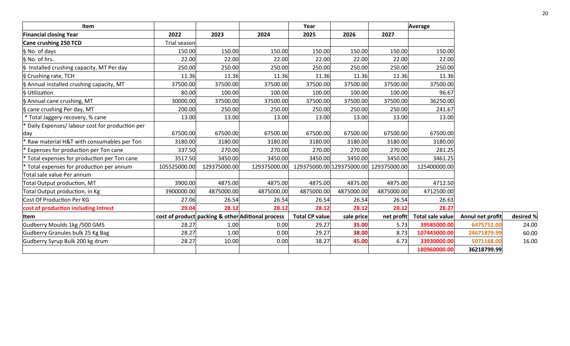| Item                                             |              |              |                                                   | Year                  |            |                                        | Average          |                  |           |
|--------------------------------------------------|--------------|--------------|---------------------------------------------------|-----------------------|------------|----------------------------------------|------------------|------------------|-----------|
| <b>Financial closing Year</b>                    | 2022         | 2023         | 2024                                              | 2025                  | 2026       | 2027                                   |                  |                  |           |
| Cane crushing 250 TCD                            | Trial season |              |                                                   |                       |            |                                        |                  |                  |           |
| § No. of days                                    | 150.00       | 150.00       | 150.00                                            | 150.00                | 150.00     | 150.00                                 | 150.00           |                  |           |
| § No. of hrs.                                    | 22.00        | 22.00        | 22.00                                             | 22.00                 | 22.00      | 22.00                                  | 22.00            |                  |           |
| § Installed crushing capacity, MT Per day        | 250.00       | 250.00       | 250.00                                            | 250.00                | 250.00     | 250.00                                 | 250.00           |                  |           |
| § Crushing rate, TCH                             | 11.36        | 11.36        | 11.36                                             | 11.36                 | 11.36      | 11.36                                  | 11.36            |                  |           |
| § Annual installed crushing capacity, MT         | 37500.00     | 37500.00     | 37500.00                                          | 37500.00              | 37500.00   | 37500.00                               | 37500.00         |                  |           |
| § Utilization                                    | 80.00        | 100.00       | 100.00                                            | 100.00                | 100.00     | 100.00                                 | 96.67            |                  |           |
| § Annual cane crushing, MT                       | 30000.00     | 37500.00     | 37500.00                                          | 37500.00              | 37500.00   | 37500.00                               | 36250.00         |                  |           |
| § cane crushing Per day, MT                      | 200.00       | 250.00       | 250.00                                            | 250.00                | 250.00     | 250.00                                 | 241.67           |                  |           |
| * Total Jaggery recovery, % cane                 | 13.00        | 13.00        | 13.00                                             | 13.00                 | 13.00      | 13.00                                  | 13.00            |                  |           |
| * Daily Expenses/ labour cost for production per |              |              |                                                   |                       |            |                                        |                  |                  |           |
| day                                              | 67500.00     | 67500.00     | 67500.00                                          | 67500.00              | 67500.00   | 67500.00                               | 67500.00         |                  |           |
| Raw material H&T with consumables per Ton        | 3180.00      | 3180.00      | 3180.00                                           | 3180.00               | 3180.00    | 3180.00                                | 3180.00          |                  |           |
| Expenses for production per Ton cane             | 337.50       | 270.00       | 270.00                                            | 270.00                | 270.00     | 270.00                                 | 281.25           |                  |           |
| Total expenses for production per Ton cane       | 3517.50      | 3450.00      | 3450.00                                           | 3450.00               | 3450.00    | 3450.00                                | 3461.25          |                  |           |
| * Total expenses for production per annum        | 105525000.00 | 129375000.00 | 129375000.00                                      |                       |            | 129375000.00 129375000.00 129375000.00 | 125400000.00     |                  |           |
| Total sale value Per annum                       |              |              |                                                   |                       |            |                                        |                  |                  |           |
| Total Output production, MT                      | 3900.00      | 4875.00      | 4875.00                                           | 4875.00               | 4875.00    | 4875.00                                | 4712.50          |                  |           |
| Total Output production, in Kg                   | 3900000.00   | 4875000.00   | 4875000.00                                        | 4875000.00            | 4875000.00 | 4875000.00                             | 4712500.00       |                  |           |
| Cost Of Production Per KG                        | 27.06        | 26.54        | 26.54                                             | 26.54                 | 26.54      | 26.54                                  | 26.63            |                  |           |
| cost of production including Intrest             | 29.04        | 28.12        | 28.12                                             | 28.12                 | 28.12      | 28.12                                  | 28.27            |                  |           |
| <b>Item</b>                                      |              |              | cost of product packing & other Aditional process | <b>Total CP value</b> | sale price | net profit                             | Total sale value | Annul net profit | desired % |
| Gudberry Moulds 1kg /500 GMS                     | 28.27        | 1.00         | 0.00                                              | 29.27                 | 35.00      | 5.73                                   | 39585000.00      | 6475752.00       | 24.00     |
| Gudberry Granules bulk 25 Kg Bag                 | 28.27        | 1.00         | 0.00                                              | 29.27                 | 38.00      | 8.73                                   | 107445000.00     | 24671879.99      | 60.00     |
| Gudberry Syrup Bulk 200 kg drum                  | 28.27        | 10.00        | 0.00                                              | 38.27                 | 45.00      | 6.73                                   | 33930000.00      | 5071168.00       | 16.00     |
|                                                  |              |              |                                                   |                       |            |                                        | 180960000.00     | 36218799.99      |           |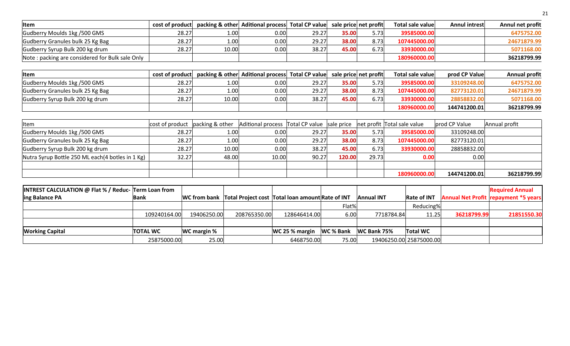| Item                                                 |                 | cost of product |                    |                 | packing & other Aditional process Total CP value              |       |                       |                  | sale price net profit       |            | <b>Total sale value</b> | <b>Annul intrest</b> | Annul net profit                     |
|------------------------------------------------------|-----------------|-----------------|--------------------|-----------------|---------------------------------------------------------------|-------|-----------------------|------------------|-----------------------------|------------|-------------------------|----------------------|--------------------------------------|
| Gudberry Moulds 1kg / 500 GMS                        |                 |                 | 28.27              | 1.00            |                                                               | 0.00  | 29.27                 | 35.00            | 5.73                        |            | 39585000.00             |                      | 6475752.00                           |
| Gudberry Granules bulk 25 Kg Bag                     |                 |                 | 28.27              | 1.00            |                                                               | 0.00  | 29.27                 | 38.00            | 8.73                        |            | 107445000.00            |                      | 24671879.99                          |
| Gudberry Syrup Bulk 200 kg drum                      |                 |                 | 28.27              | 10.00           |                                                               | 0.00  | 38.27                 | 45.00            | 6.73                        |            | 33930000.00             |                      | 5071168.00                           |
| Note: packing are considered for Bulk sale Only      |                 |                 |                    |                 |                                                               |       |                       |                  |                             |            | 180960000.00            |                      | 36218799.99                          |
|                                                      |                 |                 |                    |                 |                                                               |       |                       |                  |                             |            |                         |                      |                                      |
| Item                                                 |                 | cost of product |                    |                 | packing & other Aditional process                             |       | <b>Total CP value</b> |                  | sale price net profit       |            | Total sale value        | prod CP Value        | <b>Annual profit</b>                 |
| Gudberry Moulds 1kg / 500 GMS                        |                 |                 | 28.27              | 1.00            |                                                               | 0.00  | 29.27                 | 35.00            | 5.73                        |            | 39585000.00             | 33109248.00          | 6475752.00                           |
| Gudberry Granules bulk 25 Kg Bag                     |                 |                 | 28.27              | 1.00            |                                                               | 0.00  | 29.27                 | 38.00            | 8.73                        |            | 107445000.00            | 82773120.01          | 24671879.99                          |
| Gudberry Syrup Bulk 200 kg drum                      |                 |                 | 28.27              | 10.00           |                                                               | 0.00  | 38.27                 | 45.00            | 6.73                        |            | 33930000.00             | 28858832.00          | 5071168.00                           |
|                                                      |                 |                 |                    |                 |                                                               |       |                       |                  |                             |            | 180960000.00            | 144741200.01         | 36218799.99                          |
|                                                      |                 |                 |                    |                 |                                                               |       |                       |                  |                             |            |                         |                      |                                      |
| Item                                                 |                 | cost of product |                    | packing & other | Aditional process                                             |       | Total CP value        | sale price       | net profit Total sale value |            |                         | prod CP Value        | Annual profit                        |
| Gudberry Moulds 1kg / 500 GMS                        |                 |                 | 28.27              | 1.00            |                                                               | 0.00  | 29.27                 | 35.00            | 5.73                        |            | 39585000.00             | 33109248.00          |                                      |
| Gudberry Granules bulk 25 Kg Bag                     |                 |                 | 28.27              | 1.00            |                                                               | 0.00  | 29.27                 | 38.00            | 8.73                        |            | 107445000.00            | 82773120.01          |                                      |
| Gudberry Syrup Bulk 200 kg drum                      |                 |                 | 28.27              | 10.00           |                                                               | 0.00  | 38.27                 | 45.00            | 6.73                        |            | 33930000.00             | 28858832.00          |                                      |
| Nutra Syrup Bottle 250 ML each(4 botles in 1 Kg)     |                 |                 | 32.27              | 48.00           |                                                               | 10.00 | 90.27                 | 120.00           | 29.73                       |            | 0.00                    | 0.00                 |                                      |
|                                                      |                 |                 |                    |                 |                                                               |       |                       |                  |                             |            |                         |                      |                                      |
|                                                      |                 |                 |                    |                 |                                                               |       |                       |                  |                             |            | 180960000.00            | 144741200.01         | 36218799.99                          |
|                                                      |                 |                 |                    |                 |                                                               |       |                       |                  |                             |            |                         |                      |                                      |
| INTREST CALCULATION @ Flat % / Reduc- Term Loan from |                 |                 |                    |                 |                                                               |       |                       |                  |                             |            |                         |                      | <b>Required Annual</b>               |
| ing Balance PA                                       | <b>Bank</b>     |                 |                    |                 | WC from bank Total Project cost Total loan amount Rate of INT |       |                       |                  | <b>Annual INT</b>           |            | <b>Rate of INT</b>      |                      | Annual Net Profit repayment *5 years |
|                                                      |                 |                 |                    |                 |                                                               |       |                       | Flat%            |                             |            | Reducing%               |                      |                                      |
|                                                      |                 | 109240164.00    |                    | 19406250.00     | 208765350.00                                                  |       | 128646414.00          | 6.00             |                             | 7718784.84 | 11.25                   | 36218799.99          | 21851550.30                          |
|                                                      |                 |                 |                    |                 |                                                               |       |                       |                  |                             |            |                         |                      |                                      |
| <b>Working Capital</b>                               | <b>TOTAL WC</b> |                 | <b>WC margin %</b> |                 |                                                               |       | WC 25 % margin        | <b>WC % Bank</b> | WC Bank 75%                 |            | <b>Total WC</b>         |                      |                                      |
|                                                      |                 | 25875000.00     |                    | 25.00           |                                                               |       | 6468750.00            | 75.00            |                             |            | 19406250.00 25875000.00 |                      |                                      |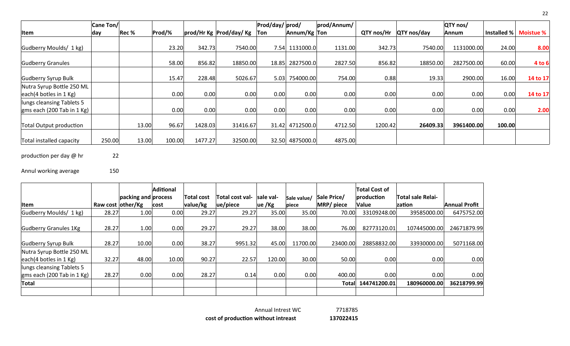|                                                           | Cane Ton/ |       |        |         |                             | Prod/day/prod/ |                 | prod/Annum/ |            |                    | QTY nos/   |             |                  |
|-----------------------------------------------------------|-----------|-------|--------|---------|-----------------------------|----------------|-----------------|-------------|------------|--------------------|------------|-------------|------------------|
| Item                                                      | day       | Rec % | Prod/% |         | prod/Hr Kg Prod/day/ Kg Ton |                | Annum/Kg Ton    |             | QTY nos/Hr | <b>QTY</b> nos/day | Annum      | Installed % | <b>Moistue %</b> |
| Gudberry Moulds/ 1 kg)                                    |           |       | 23.20  | 342.73  | 7540.00                     |                | 7.54 1131000.0  | 1131.00     | 342.73     | 7540.00            | 1131000.00 | 24.00       | 8.00             |
| <b>Gudberry Granules</b>                                  |           |       | 58.00  | 856.82  | 18850.00                    |                | 18.85 2827500.0 | 2827.50     | 856.82     | 18850.00           | 2827500.00 | 60.00       | 4 to 6           |
| Gudberry Syrup Bulk                                       |           |       | 15.47  | 228.48  | 5026.67                     | 5.03           | 754000.00       | 754.00      | 0.88       | 19.33              | 2900.00    | 16.00       | 14 to 17         |
| Nutra Syrup Bottle 250 ML<br> each(4 bottles in 1 Kg)     |           |       | 0.00   | 0.00    | 0.00                        | 0.00           | 0.00            | 0.00        | 0.00       | 0.00               | 0.00       | 0.00        | 14 to 17         |
| lungs cleansing Tablets 5<br>gms each (200 Tab in $1$ Kg) |           |       | 0.00   | 0.00    | 0.00                        | 0.00           | 0.00            | 0.00        | 0.00       | 0.00               | 0.00       | 0.00        | 2.00             |
| Total Output production                                   |           | 13.00 | 96.67  | 1428.03 | 31416.67                    |                | 31.42 4712500.0 | 4712.50     | 1200.42    | 26409.33           | 3961400.00 | 100.00      |                  |
| Total installed capacity                                  | 250.00    | 13.00 | 100.00 | 1477.27 | 32500.00                    | 32.50          | 4875000.0       | 4875.00     |            |                    |            |             |                  |

production per day @ hr 22

Annul working average 150

|                                                                          |                   |                     | <b>Aditional</b> |            |                        |           |             |             | <b>Total Cost of</b> |                          |                      |
|--------------------------------------------------------------------------|-------------------|---------------------|------------------|------------|------------------------|-----------|-------------|-------------|----------------------|--------------------------|----------------------|
|                                                                          |                   | packing and process |                  | Total cost | <b>Total cost val-</b> | sale val- | Sale value/ | Sale Price/ | production           | <b>Total sale Relai-</b> |                      |
| Item                                                                     | Raw cost other/Kg |                     | cost             | value/kg   | ue/piece               | ue /Kg    | biece       | MRP/ piece  | Value                | <b>zation</b>            | <b>Annual Profit</b> |
| Gudberry Moulds/ 1 kg)                                                   | 28.27             | 1.00                | 0.00             | 29.27      | 29.27                  | 35.00     | 35.00       | 70.00       | 33109248.00          | 39585000.00              | 6475752.00           |
| Gudberry Granules 1Kg                                                    | 28.27             | 1.00                | 0.00             | 29.27      | 29.27                  | 38.00     | 38.00       | 76.00       | 82773120.01          | 107445000.00             | 24671879.99          |
| Gudberry Syrup Bulk                                                      | 28.27             | 10.00               | 0.00             | 38.27      | 9951.32                | 45.00     | 11700.00    | 23400.00    | 28858832.00          | 33930000.00              | 5071168.00           |
| Nutra Syrup Bottle 250 ML<br> each(4 bottles in 1 Kg)                    | 32.27             | 48.00               | 10.00            | 90.27      | 22.57                  | 120.00    | 30.00       | 50.00       | 0.00                 | 0.00                     | 0.00                 |
| llungs cleansing Tablets 5<br>$\vert$ gms each (200 Tab in 1 Kg) $\vert$ | 28.27             | 0.00                | 0.00             | 28.27      | 0.14                   | 0.00      | 0.00        | 400.00      | 0.00                 | 0.00                     | 0.00                 |
| <b>Total</b>                                                             |                   |                     |                  |            |                        |           |             | Totall      | 144741200.01         | 180960000.00             | 36218799.99          |
|                                                                          |                   |                     |                  |            |                        |           |             |             |                      |                          |                      |

22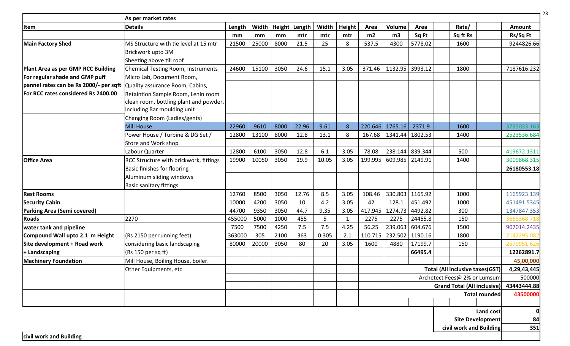| <b>Item</b>                            | <b>Details</b>                            | Length | Width | Height | Length | Width | Height       | Area    | Volume            | Area            | Rate/                                  |                      | Amount      |
|----------------------------------------|-------------------------------------------|--------|-------|--------|--------|-------|--------------|---------|-------------------|-----------------|----------------------------------------|----------------------|-------------|
|                                        |                                           | mm     | mm    | mm     | mtr    | mtr   | mtr          | m2      | m3                | Sq Ft           | Sq ft Rs                               |                      | Rs/Sq Ft    |
| <b>Main Factory Shed</b>               | MS Structure with tie level at 15 mtr     | 21500  | 25000 | 8000   | 21.5   | 25    | 8            | 537.5   | 4300              | 5778.02         | 1600                                   |                      | 9244826.66  |
|                                        | Brickwork upto 3M                         |        |       |        |        |       |              |         |                   |                 |                                        |                      |             |
|                                        | Sheeting above till roof                  |        |       |        |        |       |              |         |                   |                 |                                        |                      |             |
| Plant Area as per GMP RCC Building     | <b>Chemical Testing Room, Instruments</b> | 24600  | 15100 | 3050   | 24.6   | 15.1  | 3.05         | 371.46  | 1132.95 3993.12   |                 | 1800                                   |                      | 7187616.232 |
| For regular shade and GMP puff         | Micro Lab, Document Room,                 |        |       |        |        |       |              |         |                   |                 |                                        |                      |             |
| pannel rates can be Rs 2000/- per sqft | Quality assurance Room, Cabins,           |        |       |        |        |       |              |         |                   |                 |                                        |                      |             |
| For RCC rates considered Rs 2400.00    | Retaintion Sample Room, Lenin room        |        |       |        |        |       |              |         |                   |                 |                                        |                      |             |
|                                        | clean room, bottling plant and powder,    |        |       |        |        |       |              |         |                   |                 |                                        |                      |             |
|                                        | including Bar moulding unit               |        |       |        |        |       |              |         |                   |                 |                                        |                      |             |
|                                        | Changing Room (Ladies/gents)              |        |       |        |        |       |              |         |                   |                 |                                        |                      |             |
|                                        | <b>Mill House</b>                         | 22960  | 9610  | 8000   | 22.96  | 9.61  | 8            |         | 220.646   1765.16 | 2371.9          | 1600                                   |                      | 3795033.163 |
|                                        | Power House / Turbine & DG Set /          | 12800  | 13100 | 8000   | 12.8   | 13.1  | 8            | 167.68  | 1341.44 1802.53   |                 | 1400                                   |                      | 2523536.684 |
|                                        | Store and Work shop                       |        |       |        |        |       |              |         |                   |                 |                                        |                      |             |
|                                        | Labour Quarter                            | 12800  | 6100  | 3050   | 12.8   | 6.1   | 3.05         | 78.08   |                   | 238.144 839.344 | 500                                    |                      | 419672.1311 |
| <b>Office Area</b>                     | RCC Structure with brickwork, fittings    | 19900  | 10050 | 3050   | 19.9   | 10.05 | 3.05         | 199.995 | 609.985 2149.91   |                 | 1400                                   |                      | 3009868.315 |
|                                        | Basic finishes for flooring               |        |       |        |        |       |              |         |                   |                 |                                        |                      | 26180553.18 |
|                                        | Aluminum sliding windows                  |        |       |        |        |       |              |         |                   |                 |                                        |                      |             |
|                                        | <b>Basic sanitary fittings</b>            |        |       |        |        |       |              |         |                   |                 |                                        |                      |             |
| <b>Rest Rooms</b>                      |                                           | 12760  | 8500  | 3050   | 12.76  | 8.5   | 3.05         | 108.46  | 330.803 1165.92   |                 | 1000                                   |                      | 1165923.139 |
| <b>Security Cabin</b>                  |                                           | 10000  | 4200  | 3050   | 10     | 4.2   | 3.05         | 42      | 128.1             | 451.492         | 1000                                   |                      | 451491.5345 |
| Parking Area (Semi covered)            |                                           | 44700  | 9350  | 3050   | 44.7   | 9.35  | 3.05         | 417.945 | 1274.73           | 4492.82         | 300                                    |                      | 1347847.353 |
| <b>Roads</b>                           | 2270                                      | 455000 | 5000  | 1000   | 455    | 5     | $\mathbf{1}$ | 2275    | 2275              | 24455.8         | 150                                    |                      | 3668368.71  |
| water tank and pipeline                |                                           | 7500   | 7500  | 4250   | 7.5    | 7.5   | 4.25         | 56.25   |                   | 239.063 604.676 | 1500                                   |                      | 907014.2435 |
| Compound Wall upto 2.1 m Height        | (Rs 2150 per running feet)                | 363000 | 305   | 2100   | 363    | 0.305 | 2.1          | 110.715 | 232.502 1190.16   |                 | 1800                                   |                      | 2142295.082 |
| Site development + Road work           | considering basic landscaping             | 80000  | 20000 | 3050   | 80     | 20    | 3.05         | 1600    | 4880              | 17199.7         | 150                                    |                      | 2579951.626 |
| + Landscaping                          | (Rs 150 per sq ft)                        |        |       |        |        |       |              |         |                   | 66495.4         |                                        |                      | 12262891.7  |
| <b>Machinery Foundation</b>            | Mill House, Boiling House, boiler.        |        |       |        |        |       |              |         |                   |                 |                                        |                      | 45,00,000   |
|                                        | Other Equipments, etc                     |        |       |        |        |       |              |         |                   |                 | <b>Total (All inclusive taxes(GST)</b> |                      | 4,29,43,445 |
|                                        |                                           |        |       |        |        |       |              |         |                   |                 | Archetect Fees@ 2% or Lumsum           |                      | 500000      |
|                                        |                                           |        |       |        |        |       |              |         |                   |                 | <b>Grand Total (All inclusive)</b>     |                      | 43443444.88 |
|                                        |                                           |        |       |        |        |       |              |         |                   |                 |                                        | <b>Total rounded</b> | 43500000    |
|                                        |                                           |        |       |        |        |       |              |         |                   |                 |                                        |                      |             |
|                                        |                                           |        |       |        |        |       |              |         |                   |                 |                                        | Land cost            |             |
|                                        |                                           |        |       |        |        |       |              |         |                   |                 | <b>Site Development</b>                | 84                   |             |
|                                        |                                           |        |       |        |        |       |              |         |                   |                 | civil work and Building                |                      | 351         |

**civil work and Building**